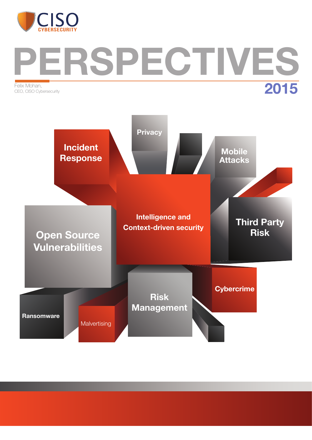

# ERSPECTIVES Felix Mohan, CEO, CISO Cybersecurity

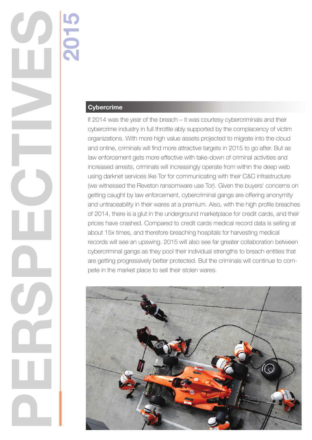# **Cybercrime**

2015

PERSPECTIVES

If 2014 was the year of the breach – it was courtesy cybercriminals and their cybercrime industry in full throttle ably supported by the complacency of victim organizations. With more high value assets projected to migrate into the cloud and online, criminals will find more attractive targets in 2015 to go after. But as law enforcement gets more effective with take-down of criminal activities and increased arrests, criminals will increasingly operate from within the deep web using darknet services like Tor for communicating with their C&C infrastructure (we witnessed the Reveton ransomware use Tor). Given the buyers' concerns on getting caught by law enforcement, cybercriminal gangs are offering anonymity and untraceability in their wares at a premium. Also, with the high profile breaches of 2014, there is a glut in the underground marketplace for credit cards, and their prices have crashed. Compared to credit cards medical record data is selling at about 15x times, and therefore breaching hospitals for harvesting medical records will see an upswing. 2015 will also see far greater collaboration between cybercriminal gangs as they pool their individual strengths to breach entities that are getting progressively better protected. But the criminals will continue to compete in the market place to sell their stolen wares.

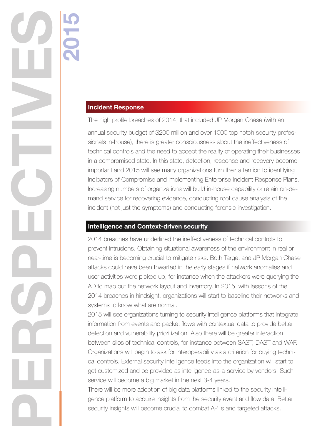### Incident Response

2015

PERSPECTIVES

The high profile breaches of 2014, that included JP Morgan Chase (with an

annual security budget of \$200 million and over 1000 top notch security professionals in-house), there is greater consciousness about the ineffectiveness of technical controls and the need to accept the reality of operating their businesses in a compromised state. In this state, detection, response and recovery become important and 2015 will see many organizations turn their attention to identifying Indicators of Compromise and implementing Enterprise Incident Response Plans. Increasing numbers of organizations will build in-house capability or retain on-demand service for recovering evidence, conducting root cause analysis of the incident (not just the symptoms) and conducting forensic investigation.

#### Intelligence and Context-driven security

2014 breaches have underlined the ineffectiveness of technical controls to prevent intrusions. Obtaining situational awareness of the environment in real or near-time is becoming crucial to mitigate risks. Both Target and JP Morgan Chase attacks could have been thwarted in the early stages if network anomalies and user activities were picked up, for instance when the attackers were querying the AD to map out the network layout and inventory. In 2015, with lessons of the 2014 breaches in hindsight, organizations will start to baseline their networks and systems to know what are normal.

2015 will see organizations turning to security intelligence platforms that integrate information from events and packet flows with contextual data to provide better detection and vulnerability prioritization. Also there will be greater interaction between silos of technical controls, for instance between SAST, DAST and WAF. Organizations will begin to ask for interoperability as a criterion for buying technical controls. External security intelligence feeds into the organization will start to get customized and be provided as intelligence-as-a-service by vendors. Such service will become a big market in the next 3-4 years.

There will be more adoption of big data platforms linked to the security intelligence platform to acquire insights from the security event and flow data. Better security insights will become crucial to combat APTs and targeted attacks.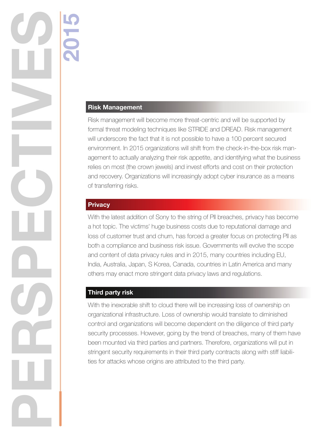## Risk Management

2015

Risk management will become more threat-centric and will be supported by formal threat modeling techniques like STRIDE and DREAD. Risk management will underscore the fact that it is not possible to have a 100 percent secured environment. In 2015 organizations will shift from the check-in-the-box risk management to actually analyzing their risk appetite, and identifying what the business relies on most (the crown jewels) and invest efforts and cost on their protection and recovery. Organizations will increasingly adopt cyber insurance as a means of transferring risks.

#### **Privacy**

PERSPECTIVES

With the latest addition of Sony to the string of PII breaches, privacy has become a hot topic. The victims' huge business costs due to reputational damage and loss of customer trust and churn, has forced a greater focus on protecting PII as both a compliance and business risk issue. Governments will evolve the scope and content of data privacy rules and in 2015, many countries including EU, India, Australia, Japan, S Korea, Canada, countries in Latin America and many others may enact more stringent data privacy laws and regulations.

### Third party risk

With the inexorable shift to cloud there will be increasing loss of ownership on organizational infrastructure. Loss of ownership would translate to diminished control and organizations will become dependent on the diligence of third party security processes. However, going by the trend of breaches, many of them have been mounted via third parties and partners. Therefore, organizations will put in stringent security requirements in their third party contracts along with stiff liabilities for attacks whose origins are attributed to the third party.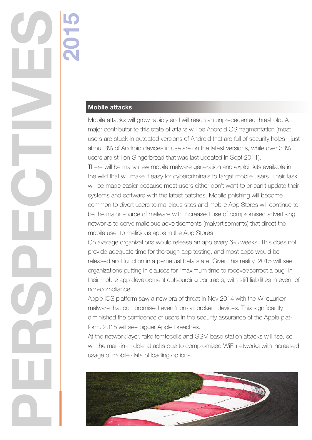## Mobile attacks

2015

PERSPECTIVES

Mobile attacks will grow rapidly and will reach an unprecedented threshold. A major contributor to this state of affairs will be Android OS fragmentation (most users are stuck in outdated versions of Android that are full of security holes - just about 3% of Android devices in use are on the latest versions, while over 33% users are still on Gingerbread that was last updated in Sept 2011). There will be many new mobile malware generation and exploit kits available in the wild that will make it easy for cybercriminals to target mobile users. Their task will be made easier because most users either don't want to or can't update their systems and software with the latest patches. Mobile phishing will become common to divert users to malicious sites and mobile App Stores will continue to be the major source of malware with increased use of compromised advertising networks to serve malicious advertisements (malvertisements) that direct the mobile user to malicious apps in the App Stores.

On average organizations would release an app every 6-8 weeks. This does not provide adequate time for thorough app testing, and most apps would be released and function in a perpetual beta state. Given this reality, 2015 will see organizations putting in clauses for "maximum time to recover/correct a bug" in their mobile app development outsourcing contracts, with stiff liabilities in event of non-compliance.

Apple iOS platform saw a new era of threat in Nov 2014 with the WireLurker malware that compromised even 'non-jail broken' devices. This significantly diminished the confidence of users in the security assurance of the Apple platform. 2015 will see bigger Apple breaches.

At the network layer, fake femtocells and GSM base station attacks will rise, so will the man-in-middle attacks due to compromised WiFi networks with increased usage of mobile data offloading options.

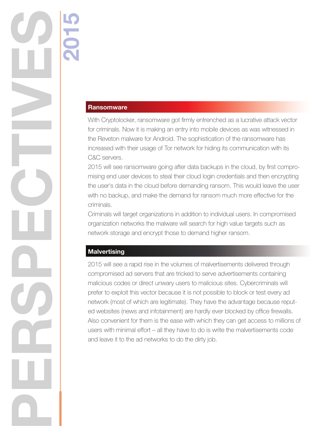#### **Ransomware**

2015

With Cryptolocker, ransomware got firmly entrenched as a lucrative attack vector for criminals. Now it is making an entry into mobile devices as was witnessed in the Reveton malware for Android. The sophistication of the ransomware has increased with their usage of Tor network for hiding its communication with its C&C servers.

2015 will see ransomware going after data backups in the cloud, by first compromising end user devices to steal their cloud login credentials and then encrypting the user's data in the cloud before demanding ransom. This would leave the user with no backup, and make the demand for ransom much more effective for the criminals.

Criminals will target organizations in addition to individual users. In compromised organization networks the malware will search for high value targets such as network storage and encrypt those to demand higher ransom.

#### **Malvertising**

PERSPECTIVES

2015 will see a rapid rise in the volumes of malvertisements delivered through compromised ad servers that are tricked to serve advertisements containing malicious codes or direct unwary users to malicious sites. Cybercriminals will prefer to exploit this vector because it is not possible to block or test every ad network (most of which are legitimate). They have the advantage because reputed websites (news and infotainment) are hardly ever blocked by office firewalls. Also convenient for them is the ease with which they can get access to millions of users with minimal effort – all they have to do is write the malvertisements code and leave it to the ad networks to do the dirty job.